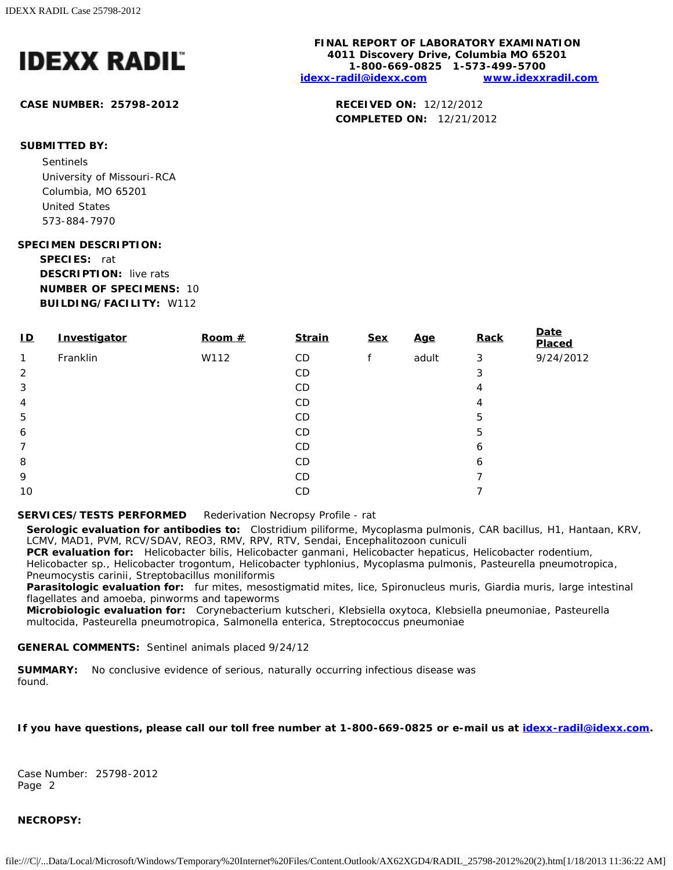

### **CASE NUMBER: 25798-2012 RECEIVED ON:** 12/12/2012

#### **SUBMITTED BY:**

Sentinels University of Missouri-RCA Columbia, MO 65201 United States 573-884-7970

### **SPECIMEN DESCRIPTION:**

**SPECIES:** rat **DESCRIPTION:** live rats **NUMBER OF SPECIMENS:** 10 **BUILDING/FACILITY:** W112

| $\overline{D}$ | Investigator | Room $#$ | <b>Strain</b> | <b>Sex</b> | <u>Age</u> | Rack | <b>Date</b><br>Placed |
|----------------|--------------|----------|---------------|------------|------------|------|-----------------------|
| $\mathbf{1}$   | Franklin     | W112     | CD            |            | adult      | 3    | 9/24/2012             |
| 2              |              |          | CD            |            |            | 3    |                       |
| 3              |              |          | CD            |            |            | 4    |                       |
| $\overline{4}$ |              |          | CD            |            |            | 4    |                       |
| 5              |              |          | CD            |            |            | 5    |                       |
| 6              |              |          | CD            |            |            | 5    |                       |
| 7              |              |          | CD            |            |            | 6    |                       |
| 8              |              |          | CD            |            |            | 6    |                       |
| 9              |              |          | CD            |            |            |      |                       |
| 10             |              |          | CD            |            |            |      |                       |

### **SERVICES/TESTS PERFORMED** Rederivation Necropsy Profile - rat

**Serologic evaluation for antibodies to:** *Clostridium piliforme*, *Mycoplasma pulmonis*, CAR bacillus, H1, Hantaan, KRV, LCMV, MAD1, PVM, RCV/SDAV, REO3, RMV, RPV, RTV, Sendai, *Encephalitozoon cuniculi*

**PCR evaluation for:** *Helicobacter bilis*, *Helicobacter ganmani*, *Helicobacter hepaticus*, *Helicobacter rodentium*, *Helicobacter* sp., *Helicobacter trogontum*, *Helicobacter typhlonius*, *Mycoplasma pulmonis*, *Pasteurella pneumotropica*, *Pneumocystis carinii*, *Streptobacillus moniliformis*

**Parasitologic evaluation for:** fur mites, mesostigmatid mites, lice, Spironucleus muris, Giardia muris, large intestinal flagellates and amoeba, pinworms and tapeworms

**Microbiologic evaluation for:** *Corynebacterium kutscheri*, *Klebsiella oxytoca*, *Klebsiella pneumoniae*, *Pasteurella multocida*, *Pasteurella pneumotropica*, *Salmonella enterica*, *Streptococcus pneumoniae*

### **GENERAL COMMENTS:** Sentinel animals placed 9/24/12

**SUMMARY:** No conclusive evidence of serious, naturally occurring infectious disease was found.

### **If you have questions, please call our toll free number at 1-800-669-0825 or e-mail us at [idexx-radil@idexx.com.](mailto:idexx-radil@idexx.com)**

Case Number: 25798-2012 Page 2

#### **NECROPSY:**

**FINAL REPORT OF LABORATORY EXAMINATION 4011 Discovery Drive, Columbia MO 65201 1-800-669-0825 1-573-499-5700 [idexx-radil@idexx.com](mailto:idexx-radil@idexx.com) [www.idexxradil.com](http://www.idexxradil.com/)**

**COMPLETED ON:** 12/21/2012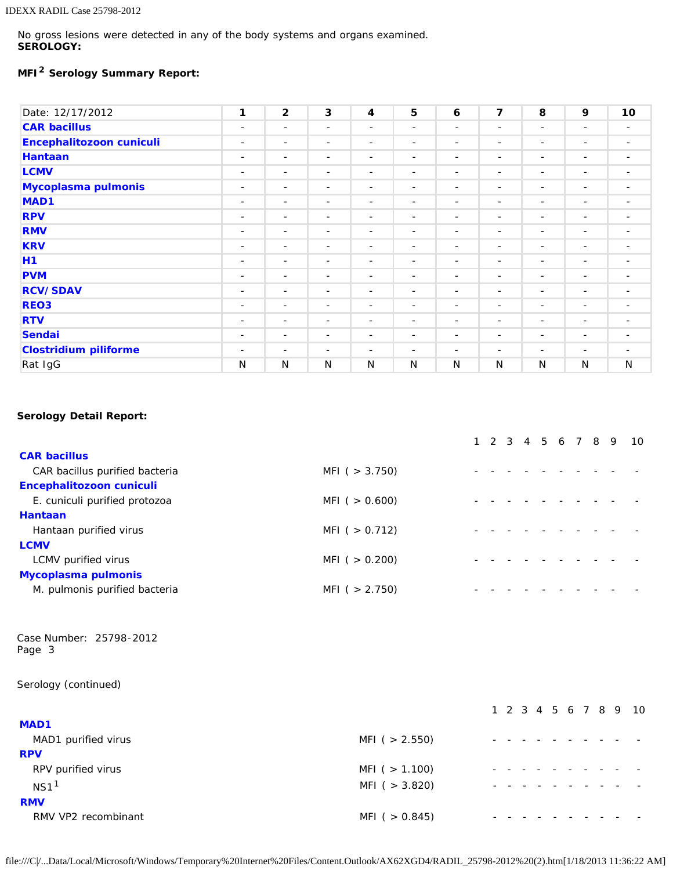No gross lesions were detected in any of the body systems and organs examined. **SEROLOGY:**

# **MFI2 Serology Summary Report:**

| Date: 12/17/2012             | 1                        | $\overline{2}$           | $\mathbf{3}$             | 4                        | 5                        | 6                        | $\overline{\mathbf{z}}$  | 8                        | 9                        | 10                       |
|------------------------------|--------------------------|--------------------------|--------------------------|--------------------------|--------------------------|--------------------------|--------------------------|--------------------------|--------------------------|--------------------------|
| <b>CAR bacillus</b>          | $\overline{\phantom{a}}$ | $\overline{\phantom{a}}$ | $\overline{\phantom{a}}$ | $\overline{\phantom{a}}$ | $\sim$                   | $\overline{\phantom{a}}$ | $\overline{\phantom{a}}$ | $\overline{\phantom{a}}$ | $\overline{\phantom{a}}$ | $\overline{\phantom{a}}$ |
| Encephalitozoon cuniculi     | $\overline{\phantom{a}}$ | $\overline{\phantom{a}}$ | $\overline{\phantom{a}}$ | $\overline{\phantom{a}}$ | $\overline{\phantom{a}}$ | $\overline{\phantom{a}}$ | $\overline{\phantom{a}}$ | ۰.                       | $\overline{\phantom{a}}$ | $\overline{\phantom{a}}$ |
| <b>Hantaan</b>               | $\sim$                   | $\overline{\phantom{a}}$ | $\overline{\phantom{a}}$ | $\overline{\phantom{a}}$ | $\overline{\phantom{a}}$ | $\overline{\phantom{a}}$ | $\sim$                   | $\sim$                   | $\sim$                   | $\overline{\phantom{a}}$ |
| <b>LCMV</b>                  | $\sim$                   | $\overline{\phantom{a}}$ | $\overline{\phantom{a}}$ | $\overline{\phantom{a}}$ | $\overline{\phantom{a}}$ | $\overline{\phantom{a}}$ | $\overline{\phantom{a}}$ | $\sim$                   | $\overline{\phantom{a}}$ | $\overline{\phantom{a}}$ |
| Mycoplasma pulmonis          | $\sim$                   | $\sim$                   | $\sim$                   | $\sim$                   | $\overline{\phantom{a}}$ | $\overline{\phantom{a}}$ | $\overline{\phantom{a}}$ | $\overline{\phantom{a}}$ | $\overline{\phantom{0}}$ | $\overline{\phantom{a}}$ |
| MAD <sub>1</sub>             | $\sim$                   | $\overline{\phantom{a}}$ | $\overline{\phantom{a}}$ | $\sim$                   | $\overline{\phantom{a}}$ | $\overline{\phantom{0}}$ | $\overline{\phantom{a}}$ | $\overline{\phantom{a}}$ | $\overline{\phantom{a}}$ | $\overline{\phantom{a}}$ |
| <b>RPV</b>                   | $\sim$                   | $\overline{\phantom{a}}$ | $\sim$                   | $\sim$                   | $\overline{\phantom{a}}$ | $\overline{\phantom{0}}$ | $\overline{\phantom{0}}$ | $\overline{\phantom{0}}$ | $\overline{\phantom{0}}$ | $\overline{\phantom{a}}$ |
| <b>RMV</b>                   | $\sim$                   | $\overline{\phantom{a}}$ | $\overline{\phantom{a}}$ | $\sim$                   | $\sim$                   | $\overline{\phantom{a}}$ | $\overline{\phantom{a}}$ | $\overline{\phantom{a}}$ | $\overline{\phantom{a}}$ | $\overline{\phantom{a}}$ |
| <b>KRV</b>                   | $\overline{\phantom{a}}$ | $\overline{\phantom{a}}$ | $\overline{\phantom{a}}$ | $\overline{\phantom{a}}$ | $\overline{\phantom{a}}$ | $\overline{\phantom{a}}$ | $\overline{\phantom{a}}$ | $\overline{\phantom{a}}$ | $\overline{\phantom{a}}$ |                          |
| H1                           | $\overline{\phantom{a}}$ | $\overline{\phantom{a}}$ | $\overline{\phantom{a}}$ | $\overline{\phantom{a}}$ | $\overline{\phantom{a}}$ | $\overline{\phantom{0}}$ | $\overline{\phantom{a}}$ | $\overline{\phantom{a}}$ | $\overline{\phantom{0}}$ | $\overline{\phantom{0}}$ |
| <b>PVM</b>                   | $\overline{\phantom{a}}$ | $\overline{\phantom{a}}$ | $\overline{\phantom{a}}$ | $\overline{\phantom{a}}$ | $\overline{\phantom{a}}$ | $\overline{\phantom{a}}$ | $\overline{\phantom{a}}$ | $\overline{\phantom{a}}$ | $\overline{\phantom{a}}$ | $\overline{\phantom{a}}$ |
| <b>RCV/SDAV</b>              | $\sim$                   | $\overline{\phantom{a}}$ | $\overline{\phantom{a}}$ | $\overline{\phantom{a}}$ | $\overline{\phantom{a}}$ | $\overline{\phantom{a}}$ | $\overline{\phantom{a}}$ | $\overline{\phantom{a}}$ | $\overline{\phantom{a}}$ | $\overline{\phantom{a}}$ |
| REO <sub>3</sub>             | $\overline{\phantom{a}}$ | $\overline{\phantom{a}}$ | $\overline{\phantom{a}}$ | $\overline{\phantom{a}}$ | $\overline{\phantom{a}}$ | $\overline{\phantom{a}}$ | $\overline{\phantom{a}}$ | $\overline{\phantom{a}}$ | $\overline{\phantom{a}}$ | $\overline{\phantom{a}}$ |
| <b>RTV</b>                   | $\sim$                   | $\overline{\phantom{a}}$ | $\overline{\phantom{a}}$ | $\sim$                   | $\overline{\phantom{a}}$ | $\overline{\phantom{a}}$ | $\overline{\phantom{0}}$ | $\overline{\phantom{0}}$ | $\overline{\phantom{0}}$ | $\overline{\phantom{0}}$ |
| Sendai                       | $\sim$                   | $\sim$                   | $\overline{\phantom{a}}$ | $\sim$                   | $\overline{\phantom{a}}$ | $\sim$                   | $\overline{\phantom{a}}$ | $\overline{\phantom{a}}$ | $\overline{\phantom{a}}$ | Ξ.                       |
| <b>Clostridium piliforme</b> | $\overline{\phantom{a}}$ | $\sim$                   | $\overline{\phantom{a}}$ | $\sim$                   | $\sim$                   | $\sim$                   | $\overline{\phantom{a}}$ | $\overline{\phantom{a}}$ | $\overline{\phantom{a}}$ | $\overline{\phantom{0}}$ |
| Rat IgG                      | N                        | N                        | N                        | N                        | N                        | N                        | N                        | N                        | N                        | N                        |

### **Serology Detail Report:**

|                                |                   |  |  |  |  | 1 2 3 4 5 6 7 8 9 10 |
|--------------------------------|-------------------|--|--|--|--|----------------------|
| <b>CAR bacillus</b>            |                   |  |  |  |  |                      |
| CAR bacillus purified bacteria | MFI ( $>$ 3.750)  |  |  |  |  |                      |
| Encephalitozoon cuniculi       |                   |  |  |  |  |                      |
| E. cuniculi purified protozoa  | MFI ( $> 0.600$ ) |  |  |  |  |                      |
| <b>Hantaan</b>                 |                   |  |  |  |  |                      |
| Hantaan purified virus         | MFI ( $> 0.712$ ) |  |  |  |  |                      |
| <b>LCMV</b>                    |                   |  |  |  |  |                      |
| LCMV purified virus            | MFI ( $> 0.200$ ) |  |  |  |  |                      |
| <b>Mycoplasma pulmonis</b>     |                   |  |  |  |  |                      |
| M. pulmonis purified bacteria  | MFI ( $> 2.750$ ) |  |  |  |  |                      |
|                                |                   |  |  |  |  |                      |

Case Number: 25798-2012 Page 3

Serology (continued)

|                     |                   |  |  |  |  | 1 2 3 4 5 6 7 8 9 10 |
|---------------------|-------------------|--|--|--|--|----------------------|
| <b>MAD1</b>         |                   |  |  |  |  |                      |
| MAD1 purified virus | MFI ( $> 2.550$ ) |  |  |  |  |                      |
| <b>RPV</b>          |                   |  |  |  |  |                      |
| RPV purified virus  | MFI ( $> 1.100$ ) |  |  |  |  |                      |
| NS1 <sup>1</sup>    | MFI ( $>$ 3.820)  |  |  |  |  |                      |
| <b>RMV</b>          |                   |  |  |  |  |                      |
| RMV VP2 recombinant | MFI ( $> 0.845$ ) |  |  |  |  |                      |

file:///C|/...Data/Local/Microsoft/Windows/Temporary%20Internet%20Files/Content.Outlook/AX62XGD4/RADIL\_25798-2012%20(2).htm[1/18/2013 11:36:22 AM]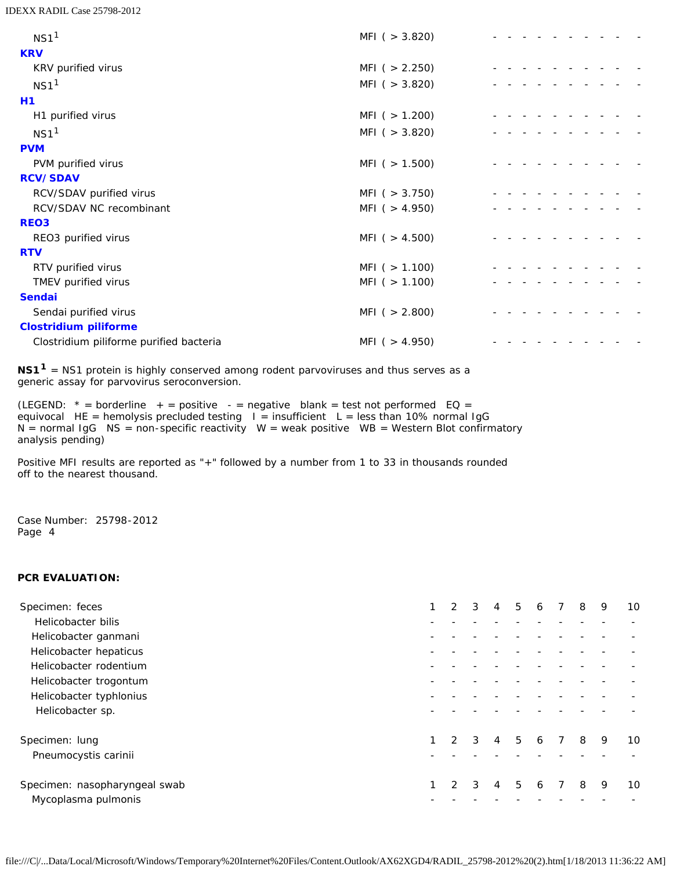IDEXX RADIL Case 25798-2012

| NS1 <sup>1</sup>                        | $MFI$ ( $>$ 3.820) |  |
|-----------------------------------------|--------------------|--|
| <b>KRV</b>                              |                    |  |
| KRV purified virus                      | MFI ( $> 2.250$ )  |  |
| NS1 <sup>1</sup>                        | $MFI$ ( $>$ 3.820) |  |
| <b>H1</b>                               |                    |  |
| H1 purified virus                       | MFI( > 1.200)      |  |
| NS1 <sup>1</sup>                        | MFI ( $>$ 3.820)   |  |
| <b>PVM</b>                              |                    |  |
| PVM purified virus                      | MFI ( $> 1.500$ )  |  |
| <b>RCV/SDAV</b>                         |                    |  |
| RCV/SDAV purified virus                 | MFI ( $>$ 3.750)   |  |
| RCV/SDAV NC recombinant                 | MFI ( $> 4.950$ )  |  |
| <b>REO3</b>                             |                    |  |
| REO3 purified virus                     | MFI ( $> 4.500$ )  |  |
| <b>RTV</b>                              |                    |  |
| RTV purified virus                      | MFI ( $> 1.100$ )  |  |
| TMEV purified virus                     | MFI ( $> 1.100$ )  |  |
| <b>Sendai</b>                           |                    |  |
| Sendai purified virus                   | MFI( > 2.800)      |  |
| <b>Clostridium piliforme</b>            |                    |  |
| Clostridium piliforme purified bacteria | MFI ( $> 4.950$ )  |  |

**NS11** = NS1 protein is highly conserved among rodent parvoviruses and thus serves as a generic assay for parvovirus seroconversion.

(LEGEND:  $*$  = borderline  $+$  = positive  $-$  = negative blank = test not performed EQ = equivocal HE = hemolysis precluded testing I = insufficient L = less than 10% normal IgG N = normal IgG NS = non-specific reactivity W = weak positive WB = Western Blot confirmatory analysis pending)

Positive MFI results are reported as "+" followed by a number from 1 to 33 in thousands rounded off to the nearest thousand.

Case Number: 25798-2012 Page 4

### **PCR EVALUATION:**

| Specimen: feces               |   | $\overline{2}$ | 3             | 4              | 5              | 6 |     | 8 | 9 | 10 |
|-------------------------------|---|----------------|---------------|----------------|----------------|---|-----|---|---|----|
| Helicobacter bilis            |   |                |               |                |                |   |     |   |   |    |
| Helicobacter ganmani          |   |                |               |                |                |   |     |   |   |    |
| Helicobacter hepaticus        |   |                |               |                |                |   |     |   |   |    |
| Helicobacter rodentium        |   |                |               |                |                |   |     |   |   |    |
| Helicobacter trogontum        |   |                |               |                |                |   |     |   |   |    |
| Helicobacter typhlonius       |   |                |               |                |                |   |     |   |   |    |
| Helicobacter sp.              |   |                |               |                |                |   |     |   |   |    |
| Specimen: lung                | 1 | $\mathcal{P}$  | $\mathcal{R}$ | $\overline{4}$ | 5 <sup>5</sup> |   | 6 7 | 8 | 9 | 10 |
| Pneumocystis carinii          |   |                |               |                |                |   |     |   |   |    |
| Specimen: nasopharyngeal swab |   | $\mathcal{P}$  | 3             | 4              | 5              | 6 |     | 8 | 9 | 10 |
| Mycoplasma pulmonis           |   |                |               |                |                |   |     |   |   |    |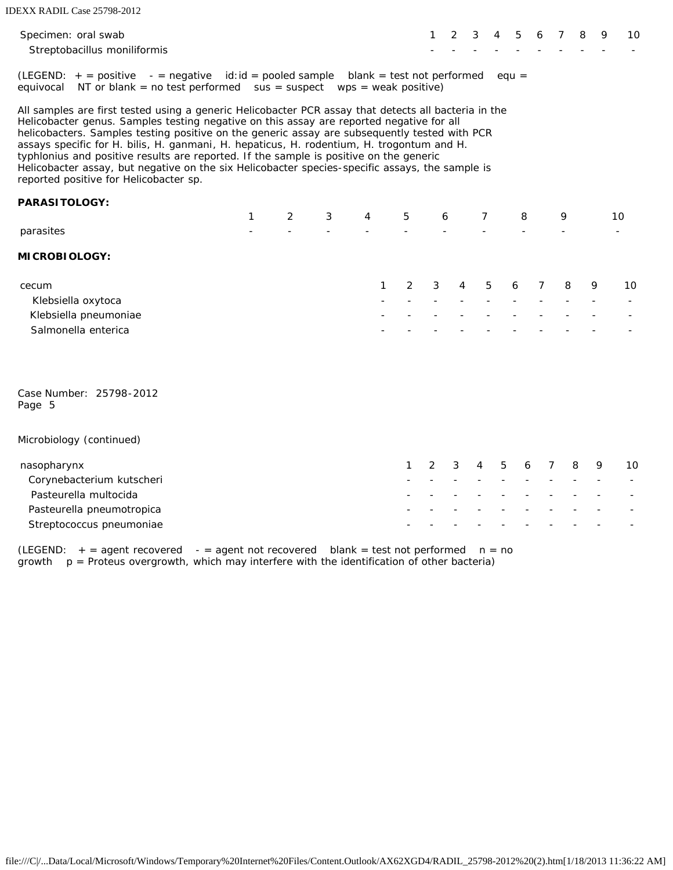| Specimen: oral swab<br>Streptobacillus moniliformis                                                                                                                                                                                                                                                                                                                                                                                                                                                                                                                                                                                   |   |   |   |                              |   |   | 1 | 2 | 3 | 4 | 5       | 6 | 7 | 8 | 9 | 10 |
|---------------------------------------------------------------------------------------------------------------------------------------------------------------------------------------------------------------------------------------------------------------------------------------------------------------------------------------------------------------------------------------------------------------------------------------------------------------------------------------------------------------------------------------------------------------------------------------------------------------------------------------|---|---|---|------------------------------|---|---|---|---|---|---|---------|---|---|---|---|----|
| $(LEGEND: + = positive - = negative id: id = pooled sample$<br>equivocal NT or blank = no test performed $sus = suspect$ wps = weak positive)                                                                                                                                                                                                                                                                                                                                                                                                                                                                                         |   |   |   | $blank = test not performed$ |   |   |   |   |   |   | $equ =$ |   |   |   |   |    |
| All samples are first tested using a generic Helicobacter PCR assay that detects all bacteria in the<br>Helicobacter genus. Samples testing negative on this assay are reported negative for all<br>helicobacters. Samples testing positive on the generic assay are subsequently tested with PCR<br>assays specific for H. bilis, H. ganmani, H. hepaticus, H. rodentium, H. trogontum and H.<br>typhlonius and positive results are reported. If the sample is positive on the generic<br>Helicobacter assay, but negative on the six Helicobacter species-specific assays, the sample is<br>reported positive for Helicobacter sp. |   |   |   |                              |   |   |   |   |   |   |         |   |   |   |   |    |
| <b>PARASITOLOGY:</b>                                                                                                                                                                                                                                                                                                                                                                                                                                                                                                                                                                                                                  |   |   |   |                              |   |   |   |   |   |   |         |   |   |   |   |    |
|                                                                                                                                                                                                                                                                                                                                                                                                                                                                                                                                                                                                                                       | 1 | 2 | 3 | 4                            |   | 5 | 6 |   | 7 |   | 8       |   | 9 |   |   | 10 |
| parasites                                                                                                                                                                                                                                                                                                                                                                                                                                                                                                                                                                                                                             |   |   |   |                              |   |   |   |   |   |   |         |   |   |   |   |    |
| <b>MICROBIOLOGY:</b>                                                                                                                                                                                                                                                                                                                                                                                                                                                                                                                                                                                                                  |   |   |   |                              |   |   |   |   |   |   |         |   |   |   |   |    |
| cecum<br>Klebsiella oxytoca<br>Klebsiella pneumoniae<br>Salmonella enterica                                                                                                                                                                                                                                                                                                                                                                                                                                                                                                                                                           |   |   |   |                              | 1 | 2 | 3 | 4 | 5 |   | 6       | 7 | 8 |   | 9 | 10 |
| Case Number: 25798-2012<br>Page 5                                                                                                                                                                                                                                                                                                                                                                                                                                                                                                                                                                                                     |   |   |   |                              |   |   |   |   |   |   |         |   |   |   |   |    |
| Microbiology (continued)                                                                                                                                                                                                                                                                                                                                                                                                                                                                                                                                                                                                              |   |   |   |                              |   |   |   |   |   |   |         |   |   |   |   |    |
| nasopharynx                                                                                                                                                                                                                                                                                                                                                                                                                                                                                                                                                                                                                           |   |   |   |                              |   | 1 | 2 | 3 | 4 | 5 | 6       | 7 |   | 8 | 9 | 10 |
| Corynebacterium kutscheri                                                                                                                                                                                                                                                                                                                                                                                                                                                                                                                                                                                                             |   |   |   |                              |   |   |   |   |   |   |         |   |   |   |   |    |
| Pasteurella multocida                                                                                                                                                                                                                                                                                                                                                                                                                                                                                                                                                                                                                 |   |   |   |                              |   |   |   |   |   |   |         |   |   |   |   |    |
| Pasteurella pneumotropica                                                                                                                                                                                                                                                                                                                                                                                                                                                                                                                                                                                                             |   |   |   |                              |   |   |   |   |   |   |         |   |   |   |   |    |
| Streptococcus pneumoniae                                                                                                                                                                                                                                                                                                                                                                                                                                                                                                                                                                                                              |   |   |   |                              |   |   |   |   |   |   |         |   |   |   |   |    |

(LEGEND:  $+$  = agent recovered  $-$  = agent not recovered blank = test not performed  $n = no$ growth p = Proteus overgrowth, which may interfere with the identification of other bacteria)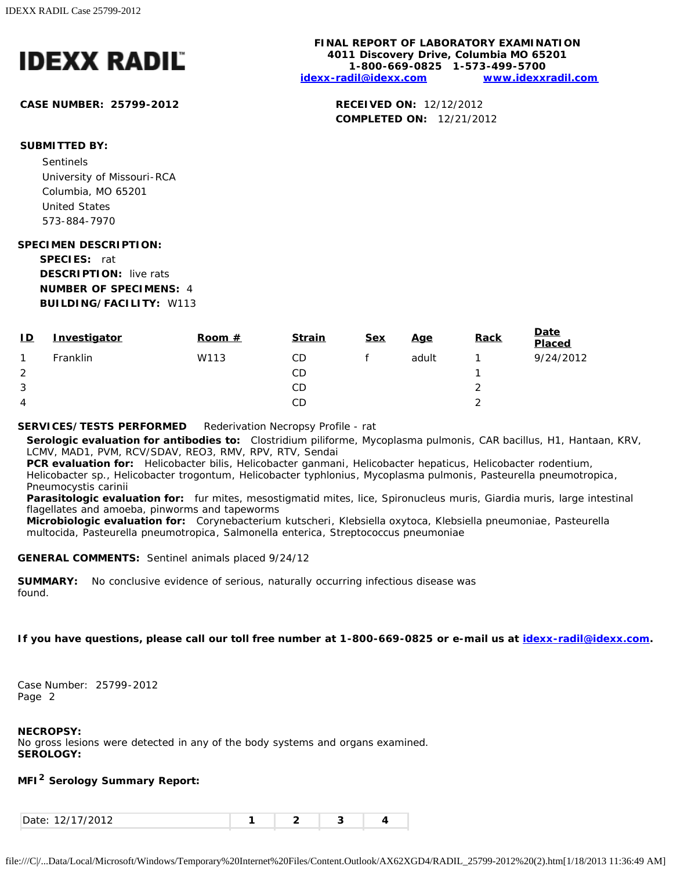

**CASE NUMBER: 25799-2012 RECEIVED ON:** 12/12/2012

### **FINAL REPORT OF LABORATORY EXAMINATION 4011 Discovery Drive, Columbia MO 65201 1-800-669-0825 1-573-499-5700 [idexx-radil@idexx.com](mailto:idexx-radil@idexx.com) [www.idexxradil.com](http://www.idexxradil.com/)**

**COMPLETED ON:** 12/21/2012

## **SUBMITTED BY:**

Sentinels University of Missouri-RCA Columbia, MO 65201 United States 573-884-7970

### **SPECIMEN DESCRIPTION:**

**SPECIES:** rat **DESCRIPTION:** live rats **NUMBER OF SPECIMENS:** 4 **BUILDING/FACILITY:** W113

| 9/24/2012 |
|-----------|
|           |
|           |
|           |
|           |

### **SERVICES/TESTS PERFORMED** Rederivation Necropsy Profile - rat

**Serologic evaluation for antibodies to:** *Clostridium piliforme*, *Mycoplasma pulmonis*, CAR bacillus, H1, Hantaan, KRV, LCMV, MAD1, PVM, RCV/SDAV, REO3, RMV, RPV, RTV, Sendai

**PCR evaluation for:** *Helicobacter bilis*, *Helicobacter ganmani*, *Helicobacter hepaticus*, *Helicobacter rodentium*, *Helicobacter* sp., *Helicobacter trogontum*, *Helicobacter typhlonius*, *Mycoplasma pulmonis*, *Pasteurella pneumotropica*, *Pneumocystis carinii*

**Parasitologic evaluation for:** fur mites, mesostigmatid mites, lice, Spironucleus muris, Giardia muris, large intestinal flagellates and amoeba, pinworms and tapeworms

**Microbiologic evaluation for:** *Corynebacterium kutscheri*, *Klebsiella oxytoca*, *Klebsiella pneumoniae*, *Pasteurella multocida*, *Pasteurella pneumotropica*, *Salmonella enterica*, *Streptococcus pneumoniae*

### **GENERAL COMMENTS:** Sentinel animals placed 9/24/12

**SUMMARY:** No conclusive evidence of serious, naturally occurring infectious disease was found.

### **If you have questions, please call our toll free number at 1-800-669-0825 or e-mail us at [idexx-radil@idexx.com.](mailto:idexx-radil@idexx.com)**

Case Number: 25799-2012 Page 2

### **NECROPSY:**

No gross lesions were detected in any of the body systems and organs examined. **SEROLOGY:**

### **MFI2 Serology Summary Report:**

| $1011710010$<br>141 112 J 14<br>.<br>Uu |  |  |  |  |
|-----------------------------------------|--|--|--|--|
|-----------------------------------------|--|--|--|--|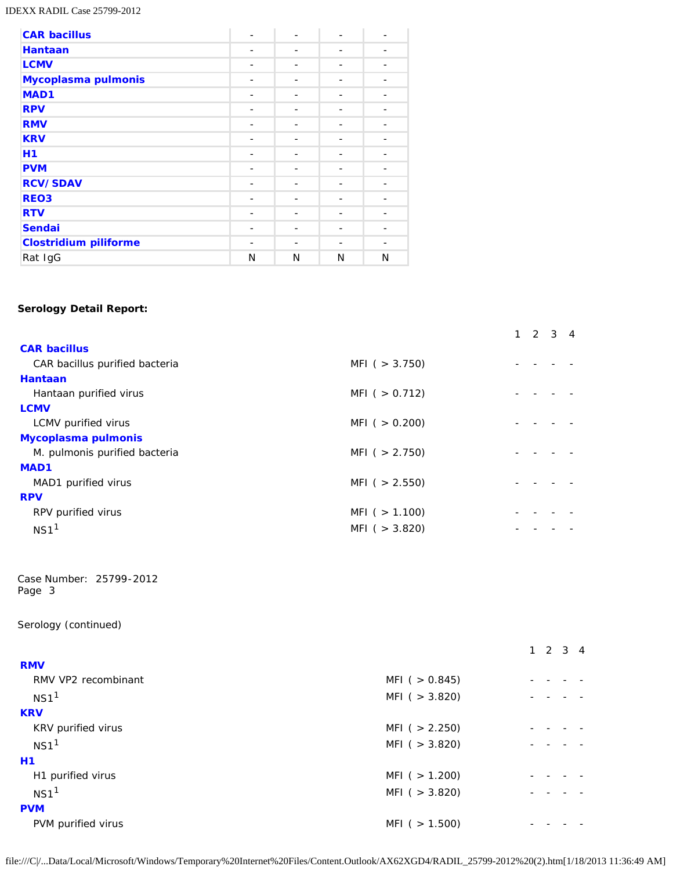IDEXX RADIL Case 25799-2012

| <b>CAR bacillus</b>          |   |   |   |   |
|------------------------------|---|---|---|---|
| <b>Hantaan</b>               |   |   |   |   |
| <b>LCMV</b>                  |   |   |   |   |
| Mycoplasma pulmonis          | - |   |   |   |
| MAD <sub>1</sub>             |   |   |   |   |
| <b>RPV</b>                   |   |   |   |   |
| <b>RMV</b>                   |   |   |   |   |
| <b>KRV</b>                   |   |   |   |   |
| H1                           |   |   |   |   |
| <b>PVM</b>                   |   |   |   |   |
| <b>RCV/SDAV</b>              |   |   |   |   |
| REO <sub>3</sub>             |   |   |   |   |
| <b>RTV</b>                   | - |   |   |   |
| <b>Sendai</b>                |   |   |   |   |
| <b>Clostridium piliforme</b> |   |   |   |   |
| Rat IgG                      | N | N | N | N |

### **Serology Detail Report:**

| <b>CAR bacillus</b>                                       |                     |                             |
|-----------------------------------------------------------|---------------------|-----------------------------|
| CAR bacillus purified bacteria                            | MFI $( > 3.750)$    |                             |
| <b>Hantaan</b>                                            |                     |                             |
| Hantaan purified virus                                    | MFI( > 0.712)       |                             |
| <b>LCMV</b>                                               |                     |                             |
| LCMV purified virus                                       | $MFI$ ( $> 0.200$ ) |                             |
| Mycoplasma pulmonis                                       |                     |                             |
| M. pulmonis purified bacteria                             | $MFI$ ( $> 2.750$ ) |                             |
| MAD1                                                      |                     |                             |
| MAD1 purified virus                                       | $MFI$ ( $> 2.550$ ) |                             |
| <b>RPV</b>                                                |                     |                             |
| RPV purified virus                                        | MFI( > 1.100)       |                             |
| NS1 <sup>1</sup>                                          | $MFI$ ( $> 3.820$ ) |                             |
| Case Number: 25799-2012<br>Page 3<br>Serology (continued) |                     |                             |
|                                                           |                     | $1 \quad 2 \quad 3 \quad 4$ |
| <b>RMV</b>                                                |                     |                             |
| RMV VP2 recombinant                                       | MFI( > 0.845)       |                             |
| NS1 <sup>1</sup>                                          | $MFI$ ( $> 3.820$ ) |                             |
| <b>KRV</b>                                                |                     |                             |
| KRV purified virus                                        | $MFI$ ( $> 2.250$ ) |                             |
| NS1 <sup>1</sup>                                          | $MFI$ ( $> 3.820$ ) |                             |
| <b>H1</b>                                                 |                     |                             |
| H1 purified virus                                         | MFI( > 1.200)       |                             |
| NS1 <sup>1</sup>                                          | $MFI$ ( $>$ 3.820)  |                             |
| <b>PVM</b>                                                |                     |                             |
| PVM purified virus                                        | $MFI$ ( $> 1.500$ ) |                             |
|                                                           |                     |                             |

1 2 3 4

file:///C|/...Data/Local/Microsoft/Windows/Temporary%20Internet%20Files/Content.Outlook/AX62XGD4/RADIL\_25799-2012%20(2).htm[1/18/2013 11:36:49 AM]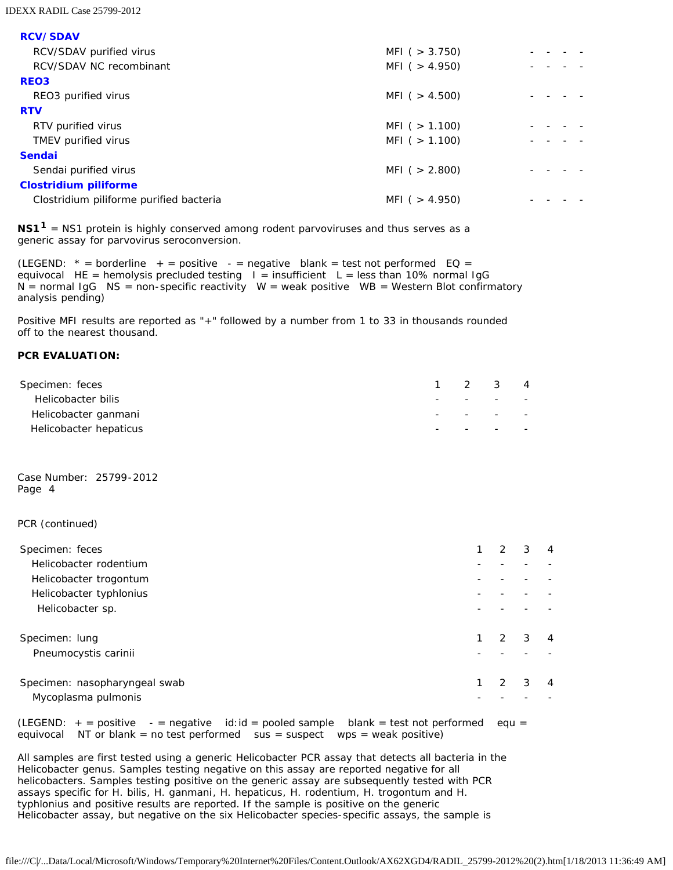IDEXX RADIL Case 25799-2012

**RCV/SDAV**

| <b>RUV/SDAV</b>                         |                   |  |
|-----------------------------------------|-------------------|--|
| RCV/SDAV purified virus                 | MFI ( $>$ 3.750)  |  |
| RCV/SDAV NC recombinant                 | MFI ( $> 4.950$ ) |  |
| <b>REO3</b>                             |                   |  |
| REO3 purified virus                     | MFI ( $> 4.500$ ) |  |
| <b>RTV</b>                              |                   |  |
| RTV purified virus                      | MFI ( $> 1.100$ ) |  |
| TMEV purified virus                     | MFI ( $> 1.100$ ) |  |
| <b>Sendai</b>                           |                   |  |
| Sendai purified virus                   | MFI ( $> 2.800$ ) |  |
| <b>Clostridium piliforme</b>            |                   |  |
| Clostridium piliforme purified bacteria | MFI ( $> 4.950$ ) |  |
|                                         |                   |  |

**NS11** = NS1 protein is highly conserved among rodent parvoviruses and thus serves as a generic assay for parvovirus seroconversion.

(LEGEND:  $* =$  borderline  $+ =$  positive  $- =$  negative blank = test not performed EQ = equivocal HE = hemolysis precluded testing  $I =$  insufficient L = less than 10% normal IgG  $N =$  normal IgG  $NS =$  non-specific reactivity  $W =$  weak positive  $WB =$  Western Blot confirmatory analysis pending)

Positive MFI results are reported as "+" followed by a number from 1 to 33 in thousands rounded off to the nearest thousand.

### **PCR EVALUATION:**

| Specimen: feces        |  | 1 2 3 4                                        |  |
|------------------------|--|------------------------------------------------|--|
| Helicobacter bilis     |  | the contract of the contract of the contract   |  |
| Helicobacter ganmani   |  | with the company of the company of the company |  |
| Helicobacter hepaticus |  | $\overline{\phantom{0}}$                       |  |

Case Number: 25799-2012 Page 4

PCR (continued)

| Specimen: feces               |  | 3 | 4 |
|-------------------------------|--|---|---|
| Helicobacter rodentium        |  |   |   |
| Helicobacter trogontum        |  |   |   |
| Helicobacter typhlonius       |  |   |   |
| Helicobacter sp.              |  |   |   |
|                               |  |   |   |
| Specimen: lung                |  | 3 |   |
| Pneumocystis carinii          |  |   |   |
|                               |  |   |   |
| Specimen: nasopharyngeal swab |  | 3 |   |
| Mycoplasma pulmonis           |  |   |   |
|                               |  |   |   |

(LEGEND:  $+$  = positive  $-$  = negative id:id = pooled sample blank = test not performed equ = equivocal NT or blank = no test performed sus = suspect wps = weak positive)

All samples are first tested using a generic *Helicobacter* PCR assay that detects all bacteria in the *Helicobacter* genus. Samples testing negative on this assay are reported negative for all helicobacters. Samples testing positive on the generic assay are subsequently tested with PCR assays specific for *H. bilis*, *H. ganmani*, *H. hepaticus*, *H. rodentium*, *H. trogontum* and *H. typhlonius* and positive results are reported. If the sample is positive on the generic *Helicobacter* assay, but negative on the six *Helicobacter* species-specific assays, the sample is